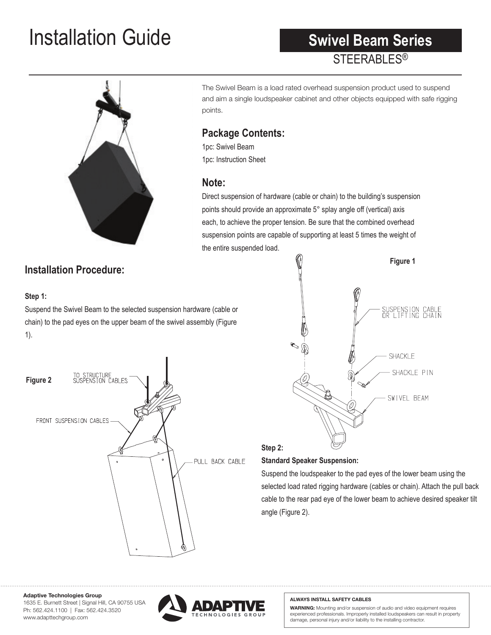## **Installation Guide Swivel Beam Series**

## **STEERABLES<sup>®</sup> Swivel Beam Series**



## The Swivel Beam is a load rated overhead suspension product used to suspend and aim a single loudspeaker cabinet and other objects equipped with safe rigging points.

#### Package Contents: **provides such and backfills where speakers where speakers where speakers can** It is ideal for aiming sound in left and right of house configurations and right of house configurations and  $\alpha$

1pc: Swivel Beam 1pc: Instruction Sheet  $T$ upper cross arm of the SwivelBeam right from two overhead suspenses from two overhead suspenses  $T$ 

## **Note:**

Direct suspension of hardware (cable or chain) to the building's suspension points should provide an approximate 5° splay angle off (vertical) axis each, to achieve the proper tension. Be sure that the combined overhead suspension points are capable of supporting at least 5 times the weight of the entire suspended load.

## **Installation Procedure:**

## Step 1:

Suspend the Swivel Beam to the selected suspension hardware (cable or chain) to the pad eyes on the upper beam of the swivel assembly (Figure 1).  $\mathbf{1}$ .





#### **Step 2: Standard Speaker Suspension:**

Suspend the loudspeaker to the pad eyes of the lower beam using the selected load rated rigging hardware (cables or chain). Attach the pull back **10.0" 4.86"** cable to the rear pad eye of the lower beam to achieve desired speaker tilt angle (Figure 2).

#### **Adaptive Technologies Group**

www.adapttechgroup.com 1635 E. Burnett Street | Signal Hill, CA 90755 USA Ph: 562.424.1100 | Fax: 562.424.3520



#### **ALWAYS INSTALL SAFETY CABLES**

damage, personal injury and/or liability to the installing contractor. **WARNING:** Mounting and/or suspension of audio and video equipment requires experienced professionals. Improperly installed loudspeakers can result in property

**Configuration** 

**WARNING:** Mounting and/or suspension loudspeakers requires experi-